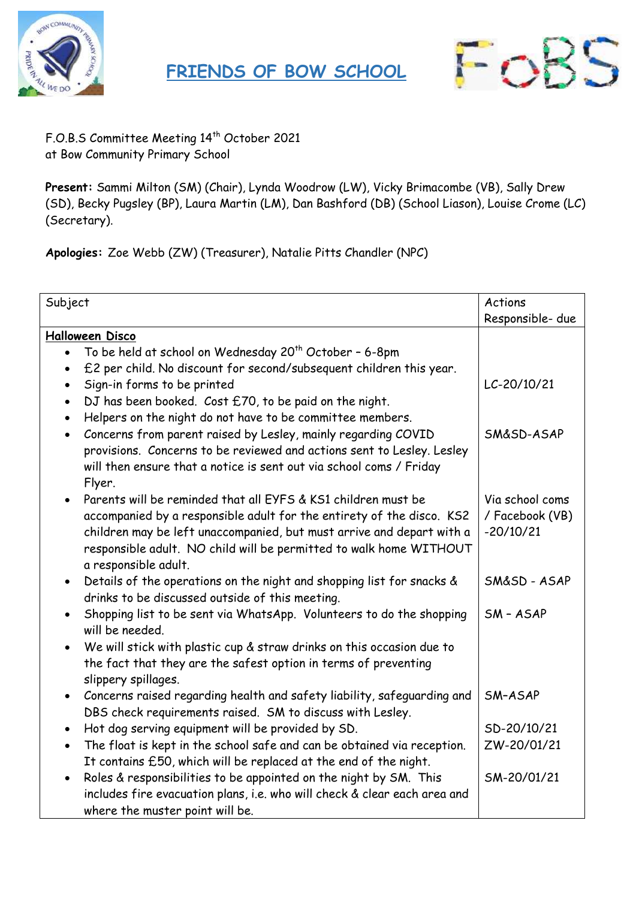



F.O.B.S Committee Meeting 14th October 2021 at Bow Community Primary School

**Present:** Sammi Milton (SM) (Chair), Lynda Woodrow (LW), Vicky Brimacombe (VB), Sally Drew (SD), Becky Pugsley (BP), Laura Martin (LM), Dan Bashford (DB) (School Liason), Louise Crome (LC) (Secretary).

**Apologies:** Zoe Webb (ZW) (Treasurer), Natalie Pitts Chandler (NPC)

| Subject                |                                                                                         | Actions<br>Responsible- due |  |
|------------------------|-----------------------------------------------------------------------------------------|-----------------------------|--|
| <b>Halloween Disco</b> |                                                                                         |                             |  |
|                        | To be held at school on Wednesday 20 <sup>th</sup> October - 6-8pm                      |                             |  |
|                        | £2 per child. No discount for second/subsequent children this year.                     |                             |  |
|                        | Sign-in forms to be printed                                                             | LC-20/10/21                 |  |
| $\bullet$              | DJ has been booked. Cost £70, to be paid on the night.                                  |                             |  |
| $\bullet$              | Helpers on the night do not have to be committee members.                               |                             |  |
| $\bullet$              | Concerns from parent raised by Lesley, mainly regarding COVID                           | SM&SD-ASAP                  |  |
|                        | provisions. Concerns to be reviewed and actions sent to Lesley. Lesley                  |                             |  |
|                        | will then ensure that a notice is sent out via school coms / Friday                     |                             |  |
|                        | Flyer.                                                                                  |                             |  |
|                        | Parents will be reminded that all EYFS & KS1 children must be                           | Via school coms             |  |
|                        | accompanied by a responsible adult for the entirety of the disco. KS2                   | / Facebook (VB)             |  |
|                        | children may be left unaccompanied, but must arrive and depart with a                   | $-20/10/21$                 |  |
|                        | responsible adult. NO child will be permitted to walk home WITHOUT                      |                             |  |
|                        | a responsible adult.                                                                    |                             |  |
|                        | Details of the operations on the night and shopping list for snacks &                   | SM&SD-ASAP                  |  |
| $\bullet$              | drinks to be discussed outside of this meeting.                                         |                             |  |
|                        |                                                                                         | SM-ASAP                     |  |
|                        | Shopping list to be sent via WhatsApp. Volunteers to do the shopping<br>will be needed. |                             |  |
|                        |                                                                                         |                             |  |
| $\bullet$              | We will stick with plastic cup & straw drinks on this occasion due to                   |                             |  |
|                        | the fact that they are the safest option in terms of preventing                         |                             |  |
|                        | slippery spillages.                                                                     |                             |  |
| $\bullet$              | Concerns raised regarding health and safety liability, safeguarding and                 | SM-ASAP                     |  |
|                        | DBS check requirements raised. SM to discuss with Lesley.                               |                             |  |
|                        | Hot dog serving equipment will be provided by SD.                                       | SD-20/10/21                 |  |
| $\bullet$              | The float is kept in the school safe and can be obtained via reception.                 | ZW-20/01/21                 |  |
|                        | It contains £50, which will be replaced at the end of the night.                        |                             |  |
| $\bullet$              | Roles & responsibilities to be appointed on the night by SM. This                       | SM-20/01/21                 |  |
|                        | includes fire evacuation plans, i.e. who will check & clear each area and               |                             |  |
|                        | where the muster point will be.                                                         |                             |  |